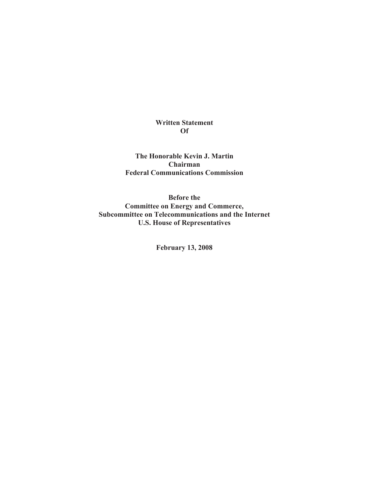# **Written Statement Of**

**The Honorable Kevin J. Martin Chairman Federal Communications Commission**

**Before the Committee on Energy and Commerce, Subcommittee on Telecommunications and the Internet U.S. House of Representatives**

**February 13, 2008**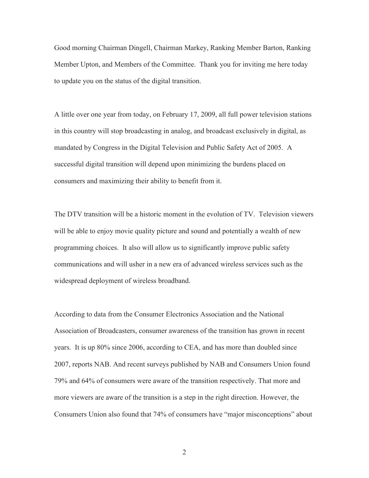Good morning Chairman Dingell, Chairman Markey, Ranking Member Barton, Ranking Member Upton, and Members of the Committee. Thank you for inviting me here today to update you on the status of the digital transition.

A little over one year from today, on February 17, 2009, all full power television stations in this country will stop broadcasting in analog, and broadcast exclusively in digital, as mandated by Congress in the Digital Television and Public Safety Act of 2005. A successful digital transition will depend upon minimizing the burdens placed on consumers and maximizing their ability to benefit from it.

The DTV transition will be a historic moment in the evolution of TV. Television viewers will be able to enjoy movie quality picture and sound and potentially a wealth of new programming choices. It also will allow us to significantly improve public safety communications and will usher in a new era of advanced wireless services such as the widespread deployment of wireless broadband.

According to data from the Consumer Electronics Association and the National Association of Broadcasters, consumer awareness of the transition has grown in recent years. It is up 80% since 2006, according to CEA, and has more than doubled since 2007, reports NAB. And recent surveys published by NAB and Consumers Union found 79% and 64% of consumers were aware of the transition respectively. That more and more viewers are aware of the transition is a step in the right direction. However, the Consumers Union also found that 74% of consumers have "major misconceptions" about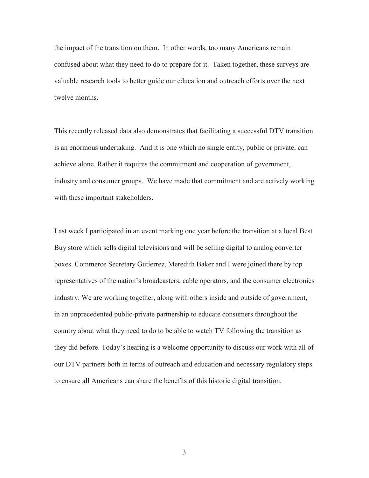the impact of the transition on them. In other words, too many Americans remain confused about what they need to do to prepare for it. Taken together, these surveys are valuable research tools to better guide our education and outreach efforts over the next twelve months.

This recently released data also demonstrates that facilitating a successful DTV transition is an enormous undertaking. And it is one which no single entity, public or private, can achieve alone. Rather it requires the commitment and cooperation of government, industry and consumer groups. We have made that commitment and are actively working with these important stakeholders.

Last week I participated in an event marking one year before the transition at a local Best Buy store which sells digital televisions and will be selling digital to analog converter boxes. Commerce Secretary Gutierrez, Meredith Baker and I were joined there by top representatives of the nation's broadcasters, cable operators, and the consumer electronics industry. We are working together, along with others inside and outside of government, in an unprecedented public-private partnership to educate consumers throughout the country about what they need to do to be able to watch TV following the transition as they did before. Today's hearing is a welcome opportunity to discuss our work with all of our DTV partners both in terms of outreach and education and necessary regulatory steps to ensure all Americans can share the benefits of this historic digital transition.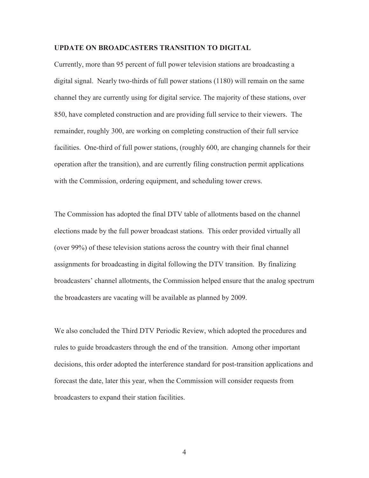### **UPDATE ON BROADCASTERS TRANSITION TO DIGITAL**

Currently, more than 95 percent of full power television stations are broadcasting a digital signal. Nearly two-thirds of full power stations (1180) will remain on the same channel they are currently using for digital service. The majority of these stations, over 850, have completed construction and are providing full service to their viewers. The remainder, roughly 300, are working on completing construction of their full service facilities. One-third of full power stations, (roughly 600, are changing channels for their operation after the transition), and are currently filing construction permit applications with the Commission, ordering equipment, and scheduling tower crews.

The Commission has adopted the final DTV table of allotments based on the channel elections made by the full power broadcast stations. This order provided virtually all (over 99%) of these television stations across the country with their final channel assignments for broadcasting in digital following the DTV transition. By finalizing broadcasters' channel allotments, the Commission helped ensure that the analog spectrum the broadcasters are vacating will be available as planned by 2009.

We also concluded the Third DTV Periodic Review, which adopted the procedures and rules to guide broadcasters through the end of the transition. Among other important decisions, this order adopted the interference standard for post-transition applications and forecast the date, later this year, when the Commission will consider requests from broadcasters to expand their station facilities.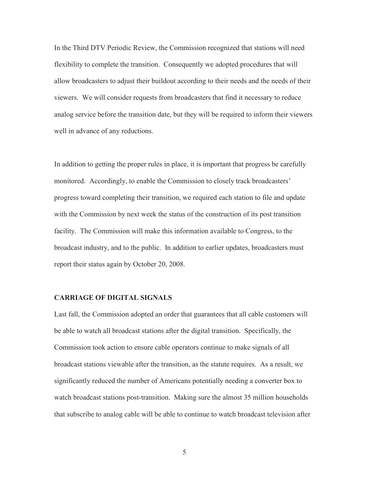In the Third DTV Periodic Review, the Commission recognized that stations will need flexibility to complete the transition. Consequently we adopted procedures that will allow broadcasters to adjust their buildout according to their needs and the needs of their viewers. We will consider requests from broadcasters that find it necessary to reduce analog service before the transition date, but they will be required to inform their viewers well in advance of any reductions.

In addition to getting the proper rules in place, it is important that progress be carefully monitored. Accordingly, to enable the Commission to closely track broadcasters' progress toward completing their transition, we required each station to file and update with the Commission by next week the status of the construction of its post transition facility. The Commission will make this information available to Congress, to the broadcast industry, and to the public. In addition to earlier updates, broadcasters must report their status again by October 20, 2008.

# **CARRIAGE OF DIGITAL SIGNALS**

Last fall, the Commission adopted an order that guarantees that all cable customers will be able to watch all broadcast stations after the digital transition. Specifically, the Commission took action to ensure cable operators continue to make signals of all broadcast stations viewable after the transition, as the statute requires. As a result, we significantly reduced the number of Americans potentially needing a converter box to watch broadcast stations post-transition. Making sure the almost 35 million households that subscribe to analog cable will be able to continue to watch broadcast television after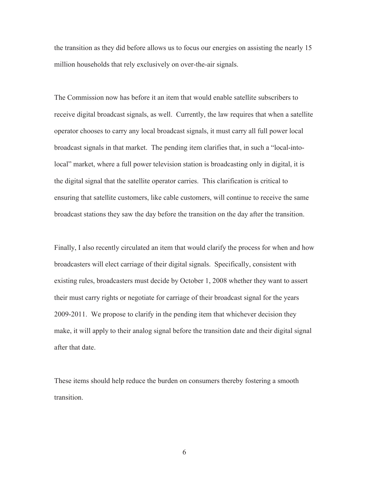the transition as they did before allows us to focus our energies on assisting the nearly 15 million households that rely exclusively on over-the-air signals.

The Commission now has before it an item that would enable satellite subscribers to receive digital broadcast signals, as well. Currently, the law requires that when a satellite operator chooses to carry any local broadcast signals, it must carry all full power local broadcast signals in that market. The pending item clarifies that, in such a "local-intolocal" market, where a full power television station is broadcasting only in digital, it is the digital signal that the satellite operator carries. This clarification is critical to ensuring that satellite customers, like cable customers, will continue to receive the same broadcast stations they saw the day before the transition on the day after the transition.

Finally, I also recently circulated an item that would clarify the process for when and how broadcasters will elect carriage of their digital signals. Specifically, consistent with existing rules, broadcasters must decide by October 1, 2008 whether they want to assert their must carry rights or negotiate for carriage of their broadcast signal for the years 2009-2011. We propose to clarify in the pending item that whichever decision they make, it will apply to their analog signal before the transition date and their digital signal after that date.

These items should help reduce the burden on consumers thereby fostering a smooth transition.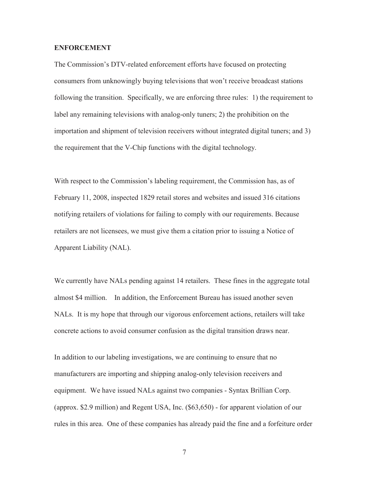### **ENFORCEMENT**

The Commission's DTV-related enforcement efforts have focused on protecting consumers from unknowingly buying televisions that won't receive broadcast stations following the transition. Specifically, we are enforcing three rules: 1) the requirement to label any remaining televisions with analog-only tuners; 2) the prohibition on the importation and shipment of television receivers without integrated digital tuners; and 3) the requirement that the V-Chip functions with the digital technology.

With respect to the Commission's labeling requirement, the Commission has, as of February 11, 2008, inspected 1829 retail stores and websites and issued 316 citations notifying retailers of violations for failing to comply with our requirements. Because retailers are not licensees, we must give them a citation prior to issuing a Notice of Apparent Liability (NAL).

We currently have NALs pending against 14 retailers. These fines in the aggregate total almost \$4 million. In addition, the Enforcement Bureau has issued another seven NALs. It is my hope that through our vigorous enforcement actions, retailers will take concrete actions to avoid consumer confusion as the digital transition draws near.

In addition to our labeling investigations, we are continuing to ensure that no manufacturers are importing and shipping analog-only television receivers and equipment. We have issued NALs against two companies - Syntax Brillian Corp. (approx. \$2.9 million) and Regent USA, Inc. (\$63,650) - for apparent violation of our rules in this area. One of these companies has already paid the fine and a forfeiture order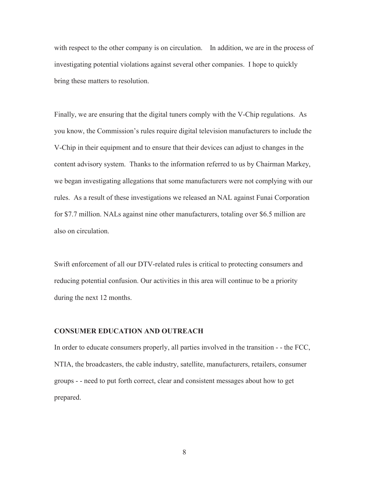with respect to the other company is on circulation. In addition, we are in the process of investigating potential violations against several other companies. I hope to quickly bring these matters to resolution.

Finally, we are ensuring that the digital tuners comply with the V-Chip regulations. As you know, the Commission's rules require digital television manufacturers to include the V-Chip in their equipment and to ensure that their devices can adjust to changes in the content advisory system. Thanks to the information referred to us by Chairman Markey, we began investigating allegations that some manufacturers were not complying with our rules. As a result of these investigations we released an NAL against Funai Corporation for \$7.7 million. NALs against nine other manufacturers, totaling over \$6.5 million are also on circulation.

Swift enforcement of all our DTV-related rules is critical to protecting consumers and reducing potential confusion. Our activities in this area will continue to be a priority during the next 12 months.

#### **CONSUMER EDUCATION AND OUTREACH**

In order to educate consumers properly, all parties involved in the transition - - the FCC, NTIA, the broadcasters, the cable industry, satellite, manufacturers, retailers, consumer groups - - need to put forth correct, clear and consistent messages about how to get prepared.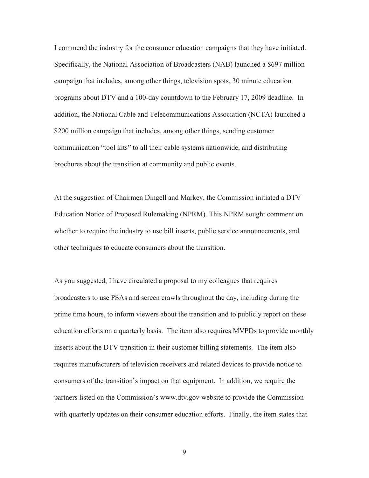I commend the industry for the consumer education campaigns that they have initiated. Specifically, the National Association of Broadcasters (NAB) launched a \$697 million campaign that includes, among other things, television spots, 30 minute education programs about DTV and a 100-day countdown to the February 17, 2009 deadline. In addition, the National Cable and Telecommunications Association (NCTA) launched a \$200 million campaign that includes, among other things, sending customer communication "tool kits" to all their cable systems nationwide, and distributing brochures about the transition at community and public events.

At the suggestion of Chairmen Dingell and Markey, the Commission initiated a DTV Education Notice of Proposed Rulemaking (NPRM). This NPRM sought comment on whether to require the industry to use bill inserts, public service announcements, and other techniques to educate consumers about the transition.

As you suggested, I have circulated a proposal to my colleagues that requires broadcasters to use PSAs and screen crawls throughout the day, including during the prime time hours, to inform viewers about the transition and to publicly report on these education efforts on a quarterly basis. The item also requires MVPDs to provide monthly inserts about the DTV transition in their customer billing statements. The item also requires manufacturers of television receivers and related devices to provide notice to consumers of the transition's impact on that equipment. In addition, we require the partners listed on the Commission's www.dtv.gov website to provide the Commission with quarterly updates on their consumer education efforts. Finally, the item states that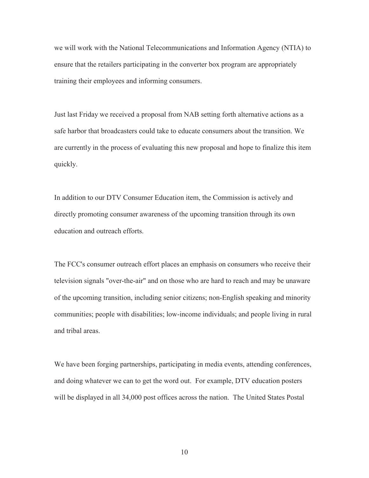we will work with the National Telecommunications and Information Agency (NTIA) to ensure that the retailers participating in the converter box program are appropriately training their employees and informing consumers.

Just last Friday we received a proposal from NAB setting forth alternative actions as a safe harbor that broadcasters could take to educate consumers about the transition. We are currently in the process of evaluating this new proposal and hope to finalize this item quickly.

In addition to our DTV Consumer Education item, the Commission is actively and directly promoting consumer awareness of the upcoming transition through its own education and outreach efforts.

The FCC's consumer outreach effort places an emphasis on consumers who receive their television signals "over-the-air" and on those who are hard to reach and may be unaware of the upcoming transition, including senior citizens; non-English speaking and minority communities; people with disabilities; low-income individuals; and people living in rural and tribal areas.

We have been forging partnerships, participating in media events, attending conferences, and doing whatever we can to get the word out. For example, DTV education posters will be displayed in all 34,000 post offices across the nation. The United States Postal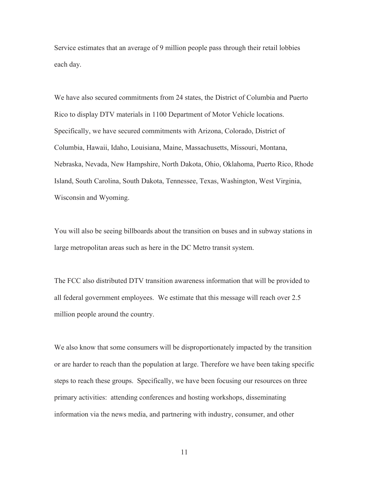Service estimates that an average of 9 million people pass through their retail lobbies each day.

We have also secured commitments from 24 states, the District of Columbia and Puerto Rico to display DTV materials in 1100 Department of Motor Vehicle locations. Specifically, we have secured commitments with Arizona, Colorado, District of Columbia, Hawaii, Idaho, Louisiana, Maine, Massachusetts, Missouri, Montana, Nebraska, Nevada, New Hampshire, North Dakota, Ohio, Oklahoma, Puerto Rico, Rhode Island, South Carolina, South Dakota, Tennessee, Texas, Washington, West Virginia, Wisconsin and Wyoming.

You will also be seeing billboards about the transition on buses and in subway stations in large metropolitan areas such as here in the DC Metro transit system.

The FCC also distributed DTV transition awareness information that will be provided to all federal government employees. We estimate that this message will reach over 2.5 million people around the country.

We also know that some consumers will be disproportionately impacted by the transition or are harder to reach than the population at large. Therefore we have been taking specific steps to reach these groups. Specifically, we have been focusing our resources on three primary activities: attending conferences and hosting workshops, disseminating information via the news media, and partnering with industry, consumer, and other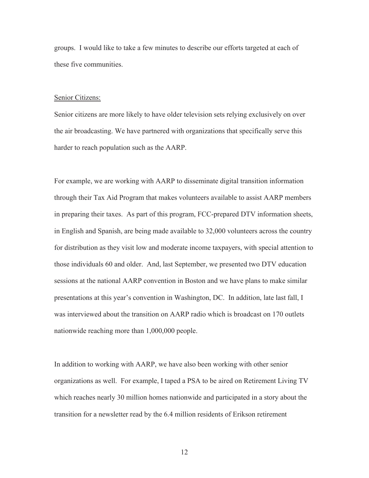groups. I would like to take a few minutes to describe our efforts targeted at each of these five communities.

#### Senior Citizens:

Senior citizens are more likely to have older television sets relying exclusively on over the air broadcasting. We have partnered with organizations that specifically serve this harder to reach population such as the AARP.

For example, we are working with AARP to disseminate digital transition information through their Tax Aid Program that makes volunteers available to assist AARP members in preparing their taxes. As part of this program, FCC-prepared DTV information sheets, in English and Spanish, are being made available to 32,000 volunteers across the country for distribution as they visit low and moderate income taxpayers, with special attention to those individuals 60 and older. And, last September, we presented two DTV education sessions at the national AARP convention in Boston and we have plans to make similar presentations at this year's convention in Washington, DC. In addition, late last fall, I was interviewed about the transition on AARP radio which is broadcast on 170 outlets nationwide reaching more than 1,000,000 people.

In addition to working with AARP, we have also been working with other senior organizations as well. For example, I taped a PSA to be aired on Retirement Living TV which reaches nearly 30 million homes nationwide and participated in a story about the transition for a newsletter read by the 6.4 million residents of Erikson retirement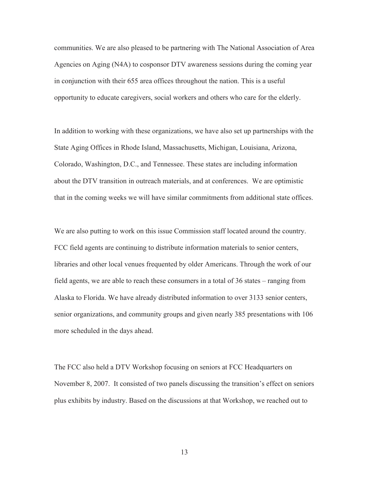communities. We are also pleased to be partnering with The National Association of Area Agencies on Aging (N4A) to cosponsor DTV awareness sessions during the coming year in conjunction with their 655 area offices throughout the nation. This is a useful opportunity to educate caregivers, social workers and others who care for the elderly.

In addition to working with these organizations, we have also set up partnerships with the State Aging Offices in Rhode Island, Massachusetts, Michigan, Louisiana, Arizona, Colorado, Washington, D.C., and Tennessee. These states are including information about the DTV transition in outreach materials, and at conferences. We are optimistic that in the coming weeks we will have similar commitments from additional state offices.

We are also putting to work on this issue Commission staff located around the country. FCC field agents are continuing to distribute information materials to senior centers, libraries and other local venues frequented by older Americans. Through the work of our field agents, we are able to reach these consumers in a total of 36 states – ranging from Alaska to Florida. We have already distributed information to over 3133 senior centers, senior organizations, and community groups and given nearly 385 presentations with 106 more scheduled in the days ahead.

The FCC also held a DTV Workshop focusing on seniors at FCC Headquarters on November 8, 2007. It consisted of two panels discussing the transition's effect on seniors plus exhibits by industry. Based on the discussions at that Workshop, we reached out to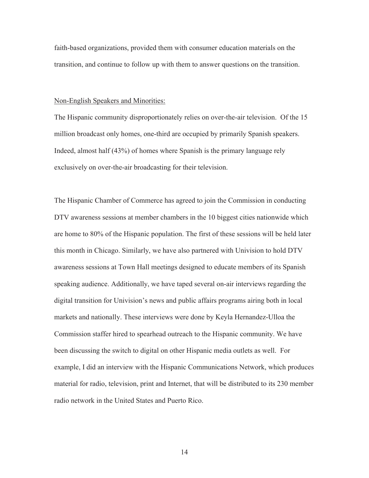faith-based organizations, provided them with consumer education materials on the transition, and continue to follow up with them to answer questions on the transition.

#### Non-English Speakers and Minorities:

The Hispanic community disproportionately relies on over-the-air television. Of the 15 million broadcast only homes, one-third are occupied by primarily Spanish speakers. Indeed, almost half (43%) of homes where Spanish is the primary language rely exclusively on over-the-air broadcasting for their television.

The Hispanic Chamber of Commerce has agreed to join the Commission in conducting DTV awareness sessions at member chambers in the 10 biggest cities nationwide which are home to 80% of the Hispanic population. The first of these sessions will be held later this month in Chicago. Similarly, we have also partnered with Univision to hold DTV awareness sessions at Town Hall meetings designed to educate members of its Spanish speaking audience. Additionally, we have taped several on-air interviews regarding the digital transition for Univision's news and public affairs programs airing both in local markets and nationally. These interviews were done by Keyla Hernandez-Ulloa the Commission staffer hired to spearhead outreach to the Hispanic community. We have been discussing the switch to digital on other Hispanic media outlets as well. For example, I did an interview with the Hispanic Communications Network, which produces material for radio, television, print and Internet, that will be distributed to its 230 member radio network in the United States and Puerto Rico.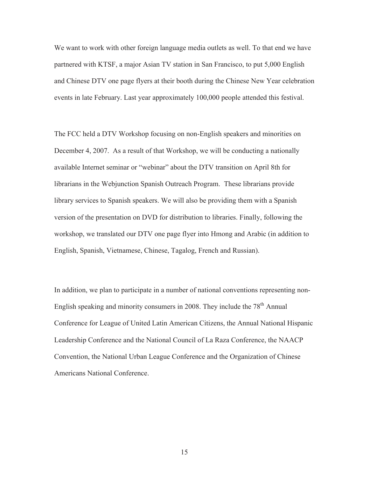We want to work with other foreign language media outlets as well. To that end we have partnered with KTSF, a major Asian TV station in San Francisco, to put 5,000 English and Chinese DTV one page flyers at their booth during the Chinese New Year celebration events in late February. Last year approximately 100,000 people attended this festival.

The FCC held a DTV Workshop focusing on non-English speakers and minorities on December 4, 2007. As a result of that Workshop, we will be conducting a nationally available Internet seminar or "webinar" about the DTV transition on April 8th for librarians in the Webjunction Spanish Outreach Program. These librarians provide library services to Spanish speakers. We will also be providing them with a Spanish version of the presentation on DVD for distribution to libraries. Finally, following the workshop, we translated our DTV one page flyer into Hmong and Arabic (in addition to English, Spanish, Vietnamese, Chinese, Tagalog, French and Russian).

In addition, we plan to participate in a number of national conventions representing non-English speaking and minority consumers in 2008. They include the 78<sup>th</sup> Annual Conference for League of United Latin American Citizens, the Annual National Hispanic Leadership Conference and the National Council of La Raza Conference, the NAACP Convention, the National Urban League Conference and the Organization of Chinese Americans National Conference.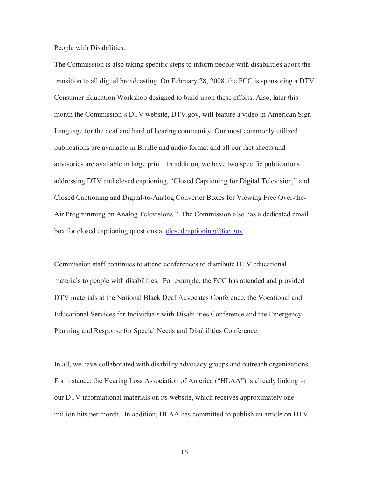#### People with Disabilities:

The Commission is also taking specific steps to inform people with disabilities about the transition to all digital broadcasting. On February 28, 2008, the FCC is sponsoring a DTV Consumer Education Workshop designed to build upon these efforts. Also, later this month the Commission's DTV website, DTV.gov, will feature a video in American Sign Language for the deaf and hard of hearing community. Our most commonly utilized publications are available in Braille and audio format and all our fact sheets and advisories are available in large print. In addition, we have two specific publications addressing DTV and closed captioning, "Closed Captioning for Digital Television," and Closed Captioning and Digital-to-Analog Converter Boxes for Viewing Free Over-the-Air Programming on Analog Televisions." The Commission also has a dedicated email box for closed captioning questions at closedcaptioning@fcc.gov.

Commission staff continues to attend conferences to distribute DTV educational materials to people with disabilities. For example, the FCC has attended and provided DTV materials at the National Black Deaf Advocates Conference, the Vocational and Educational Services for Individuals with Disabilities Conference and the Emergency Planning and Response for Special Needs and Disabilities Conference.

In all, we have collaborated with disability advocacy groups and outreach organizations. For instance, the Hearing Loss Association of America ("HLAA") is already linking to our DTV informational materials on its website, which receives approximately one million hits per month. In addition, HLAA has committed to publish an article on DTV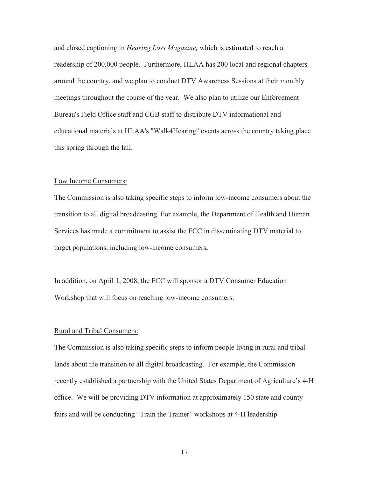and closed captioning in *Hearing Loss Magazine,* which is estimated to reach a readership of 200,000 people. Furthermore, HLAA has 200 local and regional chapters around the country, and we plan to conduct DTV Awareness Sessions at their monthly meetings throughout the course of the year. We also plan to utilize our Enforcement Bureau's Field Office staff and CGB staff to distribute DTV informational and educational materials at HLAA's "Walk4Hearing" events across the country taking place this spring through the fall.

#### Low Income Consumers:

The Commission is also taking specific steps to inform low-income consumers about the transition to all digital broadcasting. For example, the Department of Health and Human Services has made a commitment to assist the FCC in disseminating DTV material to target populations, including low-income consumers**.**

In addition, on April 1, 2008, the FCC will sponsor a DTV Consumer Education Workshop that will focus on reaching low-income consumers.

#### Rural and Tribal Consumers:

The Commission is also taking specific steps to inform people living in rural and tribal lands about the transition to all digital broadcasting. For example, the Commission recently established a partnership with the United States Department of Agriculture's 4-H office. We will be providing DTV information at approximately 150 state and county fairs and will be conducting "Train the Trainer" workshops at 4-H leadership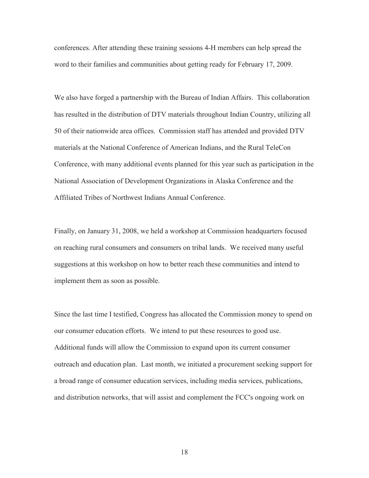conferences. After attending these training sessions 4-H members can help spread the word to their families and communities about getting ready for February 17, 2009.

We also have forged a partnership with the Bureau of Indian Affairs. This collaboration has resulted in the distribution of DTV materials throughout Indian Country, utilizing all 50 of their nationwide area offices. Commission staff has attended and provided DTV materials at the National Conference of American Indians, and the Rural TeleCon Conference, with many additional events planned for this year such as participation in the National Association of Development Organizations in Alaska Conference and the Affiliated Tribes of Northwest Indians Annual Conference.

Finally, on January 31, 2008, we held a workshop at Commission headquarters focused on reaching rural consumers and consumers on tribal lands. We received many useful suggestions at this workshop on how to better reach these communities and intend to implement them as soon as possible.

Since the last time I testified, Congress has allocated the Commission money to spend on our consumer education efforts. We intend to put these resources to good use. Additional funds will allow the Commission to expand upon its current consumer outreach and education plan. Last month, we initiated a procurement seeking support for a broad range of consumer education services, including media services, publications, and distribution networks, that will assist and complement the FCC's ongoing work on